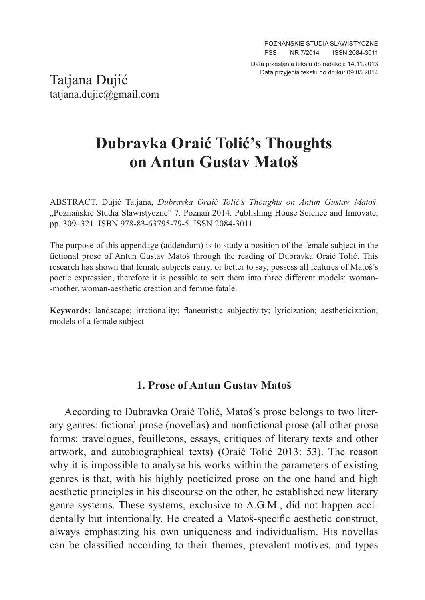Data przesłania tekstu do redakcji: 14.11.2013

Data przyjęcia tekstu do druku: 09.05.2014 Tatjana Dujić tatjana.dujic@gmail.com

## **Dubravka Oraić Tolić's Thoughts on Antun Gustav Matoš**

ABSTRACT. Dujić Tatjana, *Dubravka Oraić Tolić's Thoughts on Antun Gustav Matoš*. "Poznańskie Studia Slawistyczne" 7. Poznań 2014. Publishing House Science and Innovate, pp. 309–321. ISBN 978-83-63795-79-5. ISSN 2084-3011.

The purpose of this appendage (addendum) is to study a position of the female subject in the fictional prose of Antun Gustav Matoš through the reading of Dubravka Oraić Tolić. This research has shown that female subjects carry, or better to say, possess all features of Matoš's poetic expression, therefore it is possible to sort them into three different models: woman- -mother, woman-aesthetic creation and femme fatale.

**Keywords:** landscape; irrationality; flaneuristic subjectivity; lyricization; aestheticization; models of a female subject

## **1. Prose of Antun Gustav Matoš**

According to Dubravka Oraić Tolić, Matoš's prose belongs to two literary genres: fictional prose (novellas) and nonfictional prose (all other prose forms: travelogues, feuilletons, essays, critiques of literary texts and other artwork, and autobiographical texts) (Oraić Tolić 2013: 53). The reason why it is impossible to analyse his works within the parameters of existing genres is that, with his highly poeticized prose on the one hand and high aesthetic principles in his discourse on the other, he established new literary genre systems. These systems, exclusive to A.G.M., did not happen accidentally but intentionally. He created a Matoš-specific aesthetic construct, always emphasizing his own uniqueness and individualism. His novellas can be classified according to their themes, prevalent motives, and types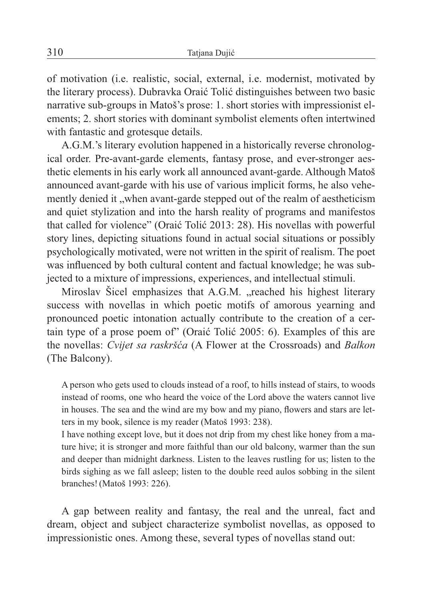of motivation (i.e. realistic, social, external, i.e. modernist, motivated by the literary process). Dubravka Oraić Tolić distinguishes between two basic narrative sub-groups in Matoš's prose: 1. short stories with impressionist elements; 2. short stories with dominant symbolist elements often intertwined with fantastic and grotesque details.

A.G.M.'s literary evolution happened in a historically reverse chronological order. Pre-avant-garde elements, fantasy prose, and ever-stronger aesthetic elements in his early work all announced avant-garde. Although Matoš announced avant-garde with his use of various implicit forms, he also vehemently denied it , when avant-garde stepped out of the realm of aestheticism and quiet stylization and into the harsh reality of programs and manifestos that called for violence" (Oraić Tolić 2013: 28). His novellas with powerful story lines, depicting situations found in actual social situations or possibly psychologically motivated, were not written in the spirit of realism. The poet was influenced by both cultural content and factual knowledge; he was subjected to a mixture of impressions, experiences, and intellectual stimuli.

Miroslav Šicel emphasizes that A.G.M. "reached his highest literary success with novellas in which poetic motifs of amorous yearning and pronounced poetic intonation actually contribute to the creation of a certain type of a prose poem of" (Oraić Tolić 2005: 6). Examples of this are the novellas: *Cvijet sa raskršća* (A Flower at the Crossroads) and *Balkon*  (The Balcony).

A person who gets used to clouds instead of a roof, to hills instead of stairs, to woods instead of rooms, one who heard the voice of the Lord above the waters cannot live in houses. The sea and the wind are my bow and my piano, flowers and stars are letters in my book, silence is my reader (Matoš 1993: 238).

I have nothing except love, but it does not drip from my chest like honey from a mature hive; it is stronger and more faithful than our old balcony, warmer than the sun and deeper than midnight darkness. Listen to the leaves rustling for us; listen to the birds sighing as we fall asleep; listen to the double reed aulos sobbing in the silent branches!(Matoš 1993: 226).

A gap between reality and fantasy, the real and the unreal, fact and dream, object and subject characterize symbolist novellas, as opposed to impressionistic ones. Among these, several types of novellas stand out: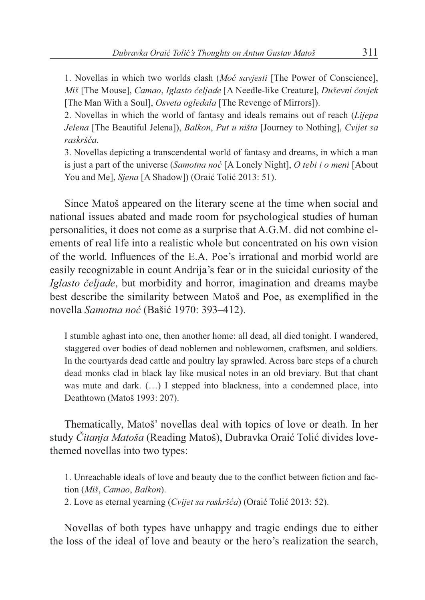1. Novellas in which two worlds clash (*Moć savjesti* [The Power of Conscience], *Miš* [The Mouse], *Camao*, *Iglasto čeljade* [A Needle-like Creature], *Duševni čovjek* [The Man With a Soul], *Osveta ogledala* [The Revenge of Mirrors]).

2. Novellas in which the world of fantasy and ideals remains out of reach (*Lijepa Jelena* [The Beautiful Jelena]), *Balkon*, *Put u ništa* [Journey to Nothing], *Cvijet sa raskršća*.

3. Novellas depicting a transcendental world of fantasy and dreams, in which a man is just a part of the universe (*Samotna noć* [A Lonely Night], *O tebi i o meni* [About You and Me], *Sjena* [A Shadow]) (Oraić Tolić 2013: 51).

Since Matoš appeared on the literary scene at the time when social and national issues abated and made room for psychological studies of human personalities, it does not come as a surprise that A.G.M. did not combine elements of real life into a realistic whole but concentrated on his own vision of the world. Influences of the E.A. Poe's irrational and morbid world are easily recognizable in count Andrija's fear or in the suicidal curiosity of the *Iglasto čeljade*, but morbidity and horror, imagination and dreams maybe best describe the similarity between Matoš and Poe, as exemplified in the novella *Samotna noć* (Bašić 1970: 393–412).

I stumble aghast into one, then another home: all dead, all died tonight. I wandered, staggered over bodies of dead noblemen and noblewomen, craftsmen, and soldiers. In the courtyards dead cattle and poultry lay sprawled. Across bare steps of a church dead monks clad in black lay like musical notes in an old breviary. But that chant was mute and dark. (…) I stepped into blackness, into a condemned place, into Deathtown (Matoš 1993: 207).

Thematically, Matoš' novellas deal with topics of love or death. In her study *Čitanja Matoša* (Reading Matoš), Dubravka Oraić Tolić divides lovethemed novellas into two types:

1. Unreachable ideals of love and beauty due to the conflict between fiction and faction (*Miš*, *Camao*, *Balkon*). 2. Love as eternal yearning (*Cvijet sa raskršća*) (Oraić Tolić 2013: 52).

Novellas of both types have unhappy and tragic endings due to either the loss of the ideal of love and beauty or the hero's realization the search,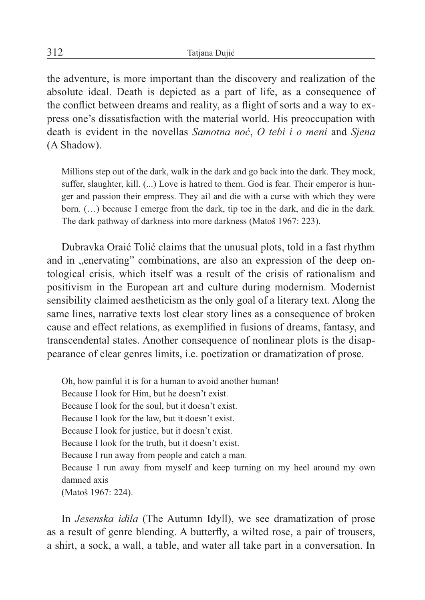the adventure, is more important than the discovery and realization of the absolute ideal. Death is depicted as a part of life, as a consequence of the conflict between dreams and reality, as a flight of sorts and a way to express one's dissatisfaction with the material world. His preoccupation with death is evident in the novellas *Samotna noć*, *O tebi i o meni* and *Sjena*  (A Shadow).

Millions step out of the dark, walk in the dark and go back into the dark. They mock, suffer, slaughter, kill.  $(...)$  Love is hatred to them. God is fear. Their emperor is hunger and passion their empress. They ail and die with a curse with which they were born. (…) because I emerge from the dark, tip toe in the dark, and die in the dark. The dark pathway of darkness into more darkness (Matoš 1967: 223).

Dubravka Oraić Tolić claims that the unusual plots, told in a fast rhythm and in , enervating" combinations, are also an expression of the deep ontological crisis, which itself was a result of the crisis of rationalism and positivism in the European art and culture during modernism. Modernist sensibility claimed aestheticism as the only goal of a literary text. Along the same lines, narrative texts lost clear story lines as a consequence of broken cause and effect relations, as exemplified in fusions of dreams, fantasy, and transcendental states. Another consequence of nonlinear plots is the disappearance of clear genres limits, i.e. poetization or dramatization of prose.

Oh, how painful it is for a human to avoid another human! Because I look for Him, but he doesn't exist. Because I look for the soul, but it doesn't exist. Because I look for the law, but it doesn't exist. Because I look for justice, but it doesn't exist. Because I look for the truth, but it doesn't exist. Because I run away from people and catch a man. Because I run away from myself and keep turning on my heel around my own damned axis (Matoš 1967: 224).

In *Jesenska idila* (The Autumn Idyll), we see dramatization of prose as a result of genre blending. A butterfly, a wilted rose, a pair of trousers, a shirt, a sock, a wall, a table, and water all take part in a conversation. In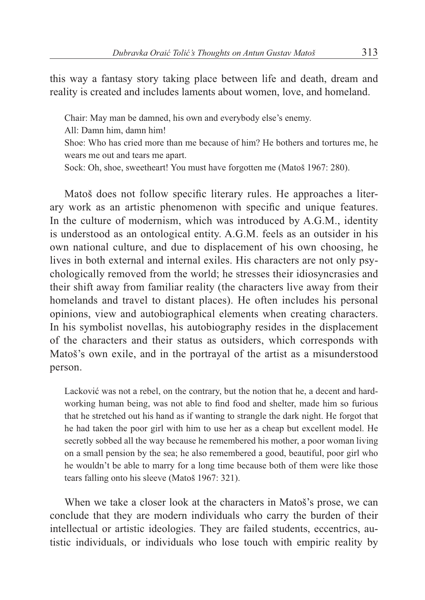this way a fantasy story taking place between life and death, dream and reality is created and includes laments about women, love, and homeland.

Chair: May man be damned, his own and everybody else's enemy.

- All: Damn him, damn him!
- Shoe: Who has cried more than me because of him? He bothers and tortures me, he wears me out and tears me apart.
- Sock: Oh, shoe, sweetheart! You must have forgotten me (Matoš 1967: 280).

Matoš does not follow specific literary rules. He approaches a literary work as an artistic phenomenon with specific and unique features. In the culture of modernism, which was introduced by A.G.M., identity is understood as an ontological entity. A.G.M. feels as an outsider in his own national culture, and due to displacement of his own choosing, he lives in both external and internal exiles. His characters are not only psychologically removed from the world; he stresses their idiosyncrasies and their shift away from familiar reality (the characters live away from their homelands and travel to distant places). He often includes his personal opinions, view and autobiographical elements when creating characters. In his symbolist novellas, his autobiography resides in the displacement of the characters and their status as outsiders, which corresponds with Matoš's own exile, and in the portrayal of the artist as a misunderstood person.

Lacković was not a rebel, on the contrary, but the notion that he, a decent and hardworking human being, was not able to find food and shelter, made him so furious that he stretched out his hand as if wanting to strangle the dark night. He forgot that he had taken the poor girl with him to use her as a cheap but excellent model. He secretly sobbed all the way because he remembered his mother, a poor woman living on a small pension by the sea; he also remembered a good, beautiful, poor girl who he wouldn't be able to marry for a long time because both of them were like those tears falling onto his sleeve (Matoš 1967: 321).

When we take a closer look at the characters in Matoš's prose, we can conclude that they are modern individuals who carry the burden of their intellectual or artistic ideologies. They are failed students, eccentrics, autistic individuals, or individuals who lose touch with empiric reality by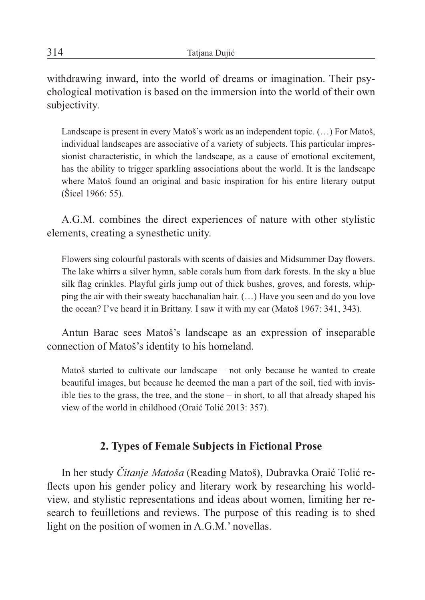withdrawing inward, into the world of dreams or imagination. Their psychological motivation is based on the immersion into the world of their own subjectivity.

Landscape is present in every Matoš's work as an independent topic. (…) For Matoš, individual landscapes are associative of a variety of subjects. This particular impressionist characteristic, in which the landscape, as a cause of emotional excitement, has the ability to trigger sparkling associations about the world. It is the landscape where Matoš found an original and basic inspiration for his entire literary output (Šicel 1966: 55).

A.G.M. combines the direct experiences of nature with other stylistic elements, creating a synesthetic unity.

Flowers sing colourful pastorals with scents of daisies and Midsummer Day flowers. The lake whirrs a silver hymn, sable corals hum from dark forests. In the sky a blue silk flag crinkles. Playful girls jump out of thick bushes, groves, and forests, whipping the air with their sweaty bacchanalian hair. (…) Have you seen and do you love the ocean? I've heard it in Brittany. I saw it with my ear (Matoš 1967: 341, 343).

Antun Barac sees Matoš's landscape as an expression of inseparable connection of Matoš's identity to his homeland.

Matoš started to cultivate our landscape – not only because he wanted to create beautiful images, but because he deemed the man a part of the soil, tied with invisible ties to the grass, the tree, and the stone – in short, to all that already shaped his view of the world in childhood (Oraić Tolić 2013: 357).

## **2. Types of Female Subjects in Fictional Prose**

In her study *Čitanje Matoša* (Reading Matoš), Dubravka Oraić Tolić reflects upon his gender policy and literary work by researching his worldview, and stylistic representations and ideas about women, limiting her research to feuilletions and reviews. The purpose of this reading is to shed light on the position of women in A.G.M.' novellas.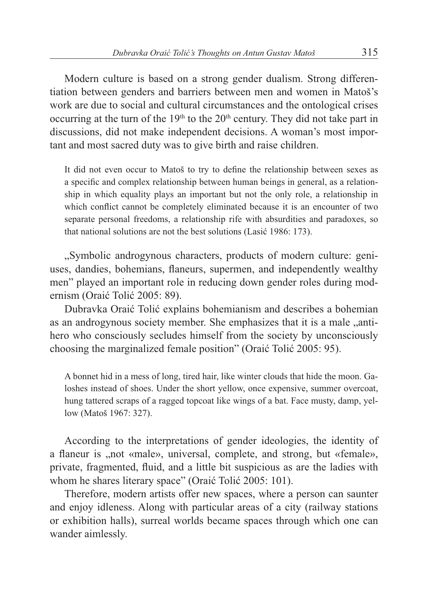Modern culture is based on a strong gender dualism. Strong differentiation between genders and barriers between men and women in Matoš's work are due to social and cultural circumstances and the ontological crises occurring at the turn of the  $19<sup>th</sup>$  to the  $20<sup>th</sup>$  century. They did not take part in discussions, did not make independent decisions. A woman's most important and most sacred duty was to give birth and raise children.

It did not even occur to Matoš to try to define the relationship between sexes as a specific and complex relationship between human beings in general, as a relationship in which equality plays an important but not the only role, a relationship in which conflict cannot be completely eliminated because it is an encounter of two separate personal freedoms, a relationship rife with absurdities and paradoxes, so that national solutions are not the best solutions (Lasić 1986: 173).

"Symbolic androgynous characters, products of modern culture: geniuses, dandies, bohemians, flaneurs, supermen, and independently wealthy men" played an important role in reducing down gender roles during modernism (Oraić Tolić 2005: 89).

Dubravka Oraić Tolić explains bohemianism and describes a bohemian as an androgynous society member. She emphasizes that it is a male "antihero who consciously secludes himself from the society by unconsciously choosing the marginalized female position" (Oraić Tolić 2005: 95).

A bonnet hid in a mess of long, tired hair, like winter clouds that hide the moon. Galoshes instead of shoes. Under the short yellow, once expensive, summer overcoat, hung tattered scraps of a ragged topcoat like wings of a bat. Face musty, damp, yellow (Matoš 1967: 327).

According to the interpretations of gender ideologies, the identity of a flaneur is , not «male», universal, complete, and strong, but «female», private, fragmented, fluid, and a little bit suspicious as are the ladies with whom he shares literary space" (Oraić Tolić 2005: 101).

Therefore, modern artists offer new spaces, where a person can saunter and enjoy idleness. Along with particular areas of a city (railway stations or exhibition halls), surreal worlds became spaces through which one can wander aimlessly.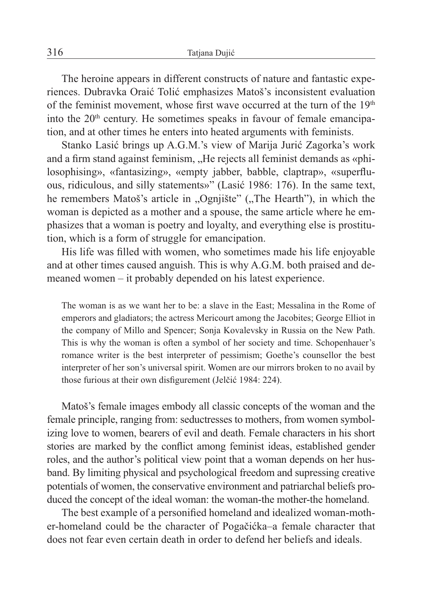The heroine appears in different constructs of nature and fantastic experiences. Dubravka Oraić Tolić emphasizes Matoš's inconsistent evaluation of the feminist movement, whose first wave occurred at the turn of the  $19<sup>th</sup>$ into the  $20<sup>th</sup>$  century. He sometimes speaks in favour of female emancipation, and at other times he enters into heated arguments with feminists.

Stanko Lasić brings up A.G.M.'s view of Marija Jurić Zagorka's work and a firm stand against feminism, "He rejects all feminist demands as «philosophising», «fantasizing», «empty jabber, babble, claptrap», «superfluous, ridiculous, and silly statements»" (Lasić 1986: 176). In the same text, he remembers Matoš's article in "Ognjište" ("The Hearth"), in which the woman is depicted as a mother and a spouse, the same article where he emphasizes that a woman is poetry and loyalty, and everything else is prostitution, which is a form of struggle for emancipation.

His life was filled with women, who sometimes made his life enjoyable and at other times caused anguish. This is why A.G.M. both praised and demeaned women – it probably depended on his latest experience.

The woman is as we want her to be: a slave in the East; Messalina in the Rome of emperors and gladiators; the actress Mericourt among the Jacobites; George Elliot in the company of Millo and Spencer; Sonja Kovalevsky in Russia on the New Path. This is why the woman is often a symbol of her society and time. Schopenhauer's romance writer is the best interpreter of pessimism; Goethe's counsellor the best interpreter of her son's universal spirit. Women are our mirrors broken to no avail by those furious at their own disfigurement (Jelčić 1984: 224).

Matoš's female images embody all classic concepts of the woman and the female principle, ranging from: seductresses to mothers, from women symbolizing love to women, bearers of evil and death. Female characters in his short stories are marked by the conflict among feminist ideas, established gender roles, and the author's political view point that a woman depends on her husband. By limiting physical and psychological freedom and supressing creative potentials of women, the conservative environment and patriarchal beliefs produced the concept of the ideal woman: the woman-the mother-the homeland.

The best example of a personified homeland and idealized woman-mother-homeland could be the character of Pogačićka–a female character that does not fear even certain death in order to defend her beliefs and ideals.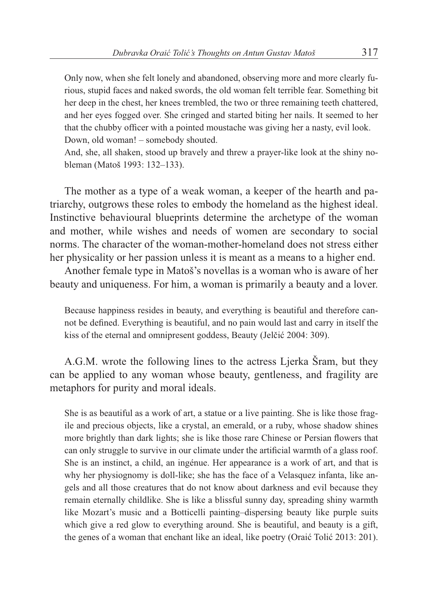Only now, when she felt lonely and abandoned, observing more and more clearly furious, stupid faces and naked swords, the old woman felt terrible fear. Something bit her deep in the chest, her knees trembled, the two or three remaining teeth chattered, and her eyes fogged over. She cringed and started biting her nails. It seemed to her that the chubby officer with a pointed moustache was giving her a nasty, evil look. Down, old woman! – somebody shouted.

And, she, all shaken, stood up bravely and threw a prayer-like look at the shiny nobleman (Matoš 1993: 132–133).

The mother as a type of a weak woman, a keeper of the hearth and patriarchy, outgrows these roles to embody the homeland as the highest ideal. Instinctive behavioural blueprints determine the archetype of the woman and mother, while wishes and needs of women are secondary to social norms. The character of the woman-mother-homeland does not stress either her physicality or her passion unless it is meant as a means to a higher end.

Another female type in Matoš's novellas is a woman who is aware of her beauty and uniqueness. For him, a woman is primarily a beauty and a lover.

Because happiness resides in beauty, and everything is beautiful and therefore cannot be defined. Everything is beautiful, and no pain would last and carry in itself the kiss of the eternal and omnipresent goddess, Beauty (Jelčić 2004: 309).

A.G.M. wrote the following lines to the actress Ljerka Šram, but they can be applied to any woman whose beauty, gentleness, and fragility are metaphors for purity and moral ideals.

She is as beautiful as a work of art, a statue or a live painting. She is like those fragile and precious objects, like a crystal, an emerald, or a ruby, whose shadow shines more brightly than dark lights; she is like those rare Chinese or Persian flowers that can only struggle to survive in our climate under the artificial warmth of a glass roof. She is an instinct, a child, an ingénue. Her appearance is a work of art, and that is why her physiognomy is doll-like; she has the face of a Velasquez infanta, like angels and all those creatures that do not know about darkness and evil because they remain eternally childlike. She is like a blissful sunny day, spreading shiny warmth like Mozart's music and a Botticelli painting–dispersing beauty like purple suits which give a red glow to everything around. She is beautiful, and beauty is a gift, the genes of a woman that enchant like an ideal, like poetry (Oraić Tolić 2013: 201).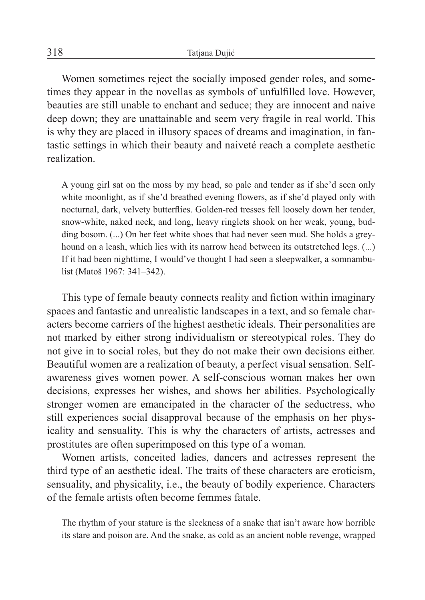Women sometimes reject the socially imposed gender roles, and sometimes they appear in the novellas as symbols of unfulfilled love. However, beauties are still unable to enchant and seduce; they are innocent and naive deep down; they are unattainable and seem very fragile in real world. This is why they are placed in illusory spaces of dreams and imagination, in fantastic settings in which their beauty and naiveté reach a complete aesthetic realization.

A young girl sat on the moss by my head, so pale and tender as if she'd seen only white moonlight, as if she'd breathed evening flowers, as if she'd played only with nocturnal, dark, velvety butterflies. Golden-red tresses fell loosely down her tender, snow-white, naked neck, and long, heavy ringlets shook on her weak, young, budding bosom. (...) On her feet white shoes that had never seen mud. She holds a greyhound on a leash, which lies with its narrow head between its outstretched legs. (...) If it had been nighttime, I would've thought I had seen a sleepwalker, a somnambulist (Matoš 1967: 341–342).

This type of female beauty connects reality and fiction within imaginary spaces and fantastic and unrealistic landscapes in a text, and so female characters become carriers of the highest aesthetic ideals. Their personalities are not marked by either strong individualism or stereotypical roles. They do not give in to social roles, but they do not make their own decisions either. Beautiful women are a realization of beauty, a perfect visual sensation. Selfawareness gives women power. A self-conscious woman makes her own decisions, expresses her wishes, and shows her abilities. Psychologically stronger women are emancipated in the character of the seductress, who still experiences social disapproval because of the emphasis on her physicality and sensuality. This is why the characters of artists, actresses and prostitutes are often superimposed on this type of a woman.

Women artists, conceited ladies, dancers and actresses represent the third type of an aesthetic ideal. The traits of these characters are eroticism, sensuality, and physicality, i.e., the beauty of bodily experience. Characters of the female artists often become femmes fatale.

The rhythm of your stature is the sleekness of a snake that isn't aware how horrible its stare and poison are. And the snake, as cold as an ancient noble revenge, wrapped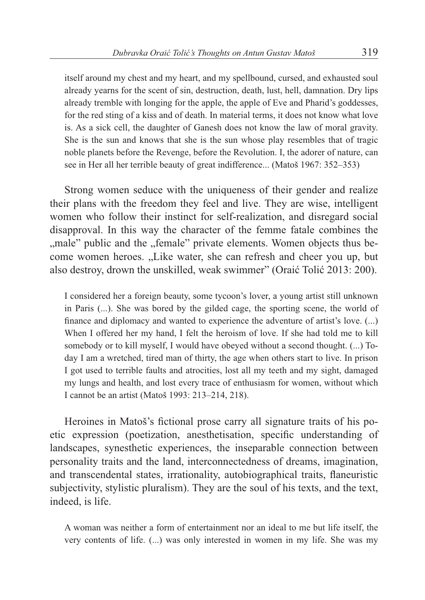itself around my chest and my heart, and my spellbound, cursed, and exhausted soul already yearns for the scent of sin, destruction, death, lust, hell, damnation. Dry lips already tremble with longing for the apple, the apple of Eve and Pharid's goddesses, for the red sting of a kiss and of death. In material terms, it does not know what love is. As a sick cell, the daughter of Ganesh does not know the law of moral gravity. She is the sun and knows that she is the sun whose play resembles that of tragic noble planets before the Revenge, before the Revolution. I, the adorer of nature, can see in Her all her terrible beauty of great indifference... (Matoš 1967: 352–353)

Strong women seduce with the uniqueness of their gender and realize their plans with the freedom they feel and live. They are wise, intelligent women who follow their instinct for self-realization, and disregard social disapproval. In this way the character of the femme fatale combines the "male" public and the "female" private elements. Women objects thus become women heroes. "Like water, she can refresh and cheer you up, but also destroy, drown the unskilled, weak swimmer" (Oraić Tolić 2013: 200).

I considered her a foreign beauty, some tycoon's lover, a young artist still unknown in Paris (...). She was bored by the gilded cage, the sporting scene, the world of finance and diplomacy and wanted to experience the adventure of artist's love.  $(...)$ When I offered her my hand, I felt the heroism of love. If she had told me to kill somebody or to kill myself, I would have obeyed without a second thought. (...) Today I am a wretched, tired man of thirty, the age when others start to live. In prison I got used to terrible faults and atrocities, lost all my teeth and my sight, damaged my lungs and health, and lost every trace of enthusiasm for women, without which I cannot be an artist (Matoš 1993: 213–214, 218).

Heroines in Matoš's fictional prose carry all signature traits of his poetic expression (poetization, anesthetisation, specific understanding of landscapes, synesthetic experiences, the inseparable connection between personality traits and the land, interconnectedness of dreams, imagination, and transcendental states, irrationality, autobiographical traits, flaneuristic subjectivity, stylistic pluralism). They are the soul of his texts, and the text, indeed, is life.

A woman was neither a form of entertainment nor an ideal to me but life itself, the very contents of life. (...) was only interested in women in my life. She was my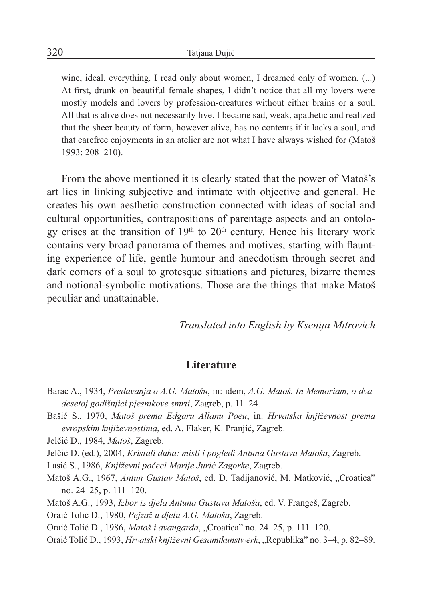wine, ideal, everything. I read only about women, I dreamed only of women. (...) At first, drunk on beautiful female shapes, I didn't notice that all my lovers were mostly models and lovers by profession-creatures without either brains or a soul. All that is alive does not necessarily live. I became sad, weak, apathetic and realized that the sheer beauty of form, however alive, has no contents if it lacks a soul, and that carefree enjoyments in an atelier are not what I have always wished for (Matoš 1993: 208–210).

From the above mentioned it is clearly stated that the power of Matoš's art lies in linking subjective and intimate with objective and general. He creates his own aesthetic construction connected with ideas of social and cultural opportunities, contrapositions of parentage aspects and an ontology crises at the transition of  $19<sup>th</sup>$  to  $20<sup>th</sup>$  century. Hence his literary work contains very broad panorama of themes and motives, starting with flaunting experience of life, gentle humour and anecdotism through secret and dark corners of a soul to grotesque situations and pictures, bizarre themes and notional-symbolic motivations. Those are the things that make Matoš peculiar and unattainable.

*Translated into English by Ksenija Mitrovich* 

## **Literature**

- Barac A., 1934, *Predavanja o A.G. Matošu*, in: idem, *A.G. Matoš. In Memoriam, o dvadesetoj godišnjici pjesnikove smrti*, Zagreb, p. 11–24.
- Bašić S., 1970, *Matoš prema Edgaru Allanu Poeu*, in: *Hrvatska književnost prema evropskim književnostima*, ed. A. Flaker, K. Pranjić, Zagreb.

Jelčić D., 1984, *Matoš*, Zagreb.

Jelčić D. (ed.), 2004, *Kristali duha: misli i pogledi Antuna Gustava Matoša*, Zagreb.

Lasić S., 1986, *Književni počeci Marije Jurić Zagorke*, Zagreb.

Matoš A.G., 1967, *Antun Gustav Matoš*, ed. D. Tadijanović, M. Matković, "Croatica" no. 24–25, p. 111–120.

Matoš A.G., 1993, *Izbor iz djela Antuna Gustava Matoša*, ed. V. Frangeš, Zagreb.

Oraić Tolić D., 1980, *Pejzaž u djelu A.G. Matoša*, Zagreb.

Oraić Tolić D., 1986, *Matoš i avangarda*, "Croatica" no. 24–25, p. 111–120.

Oraić Tolić D., 1993, *Hrvatski književni Gesamtkunstwerk*, "Republika" no. 3–4, p. 82–89.